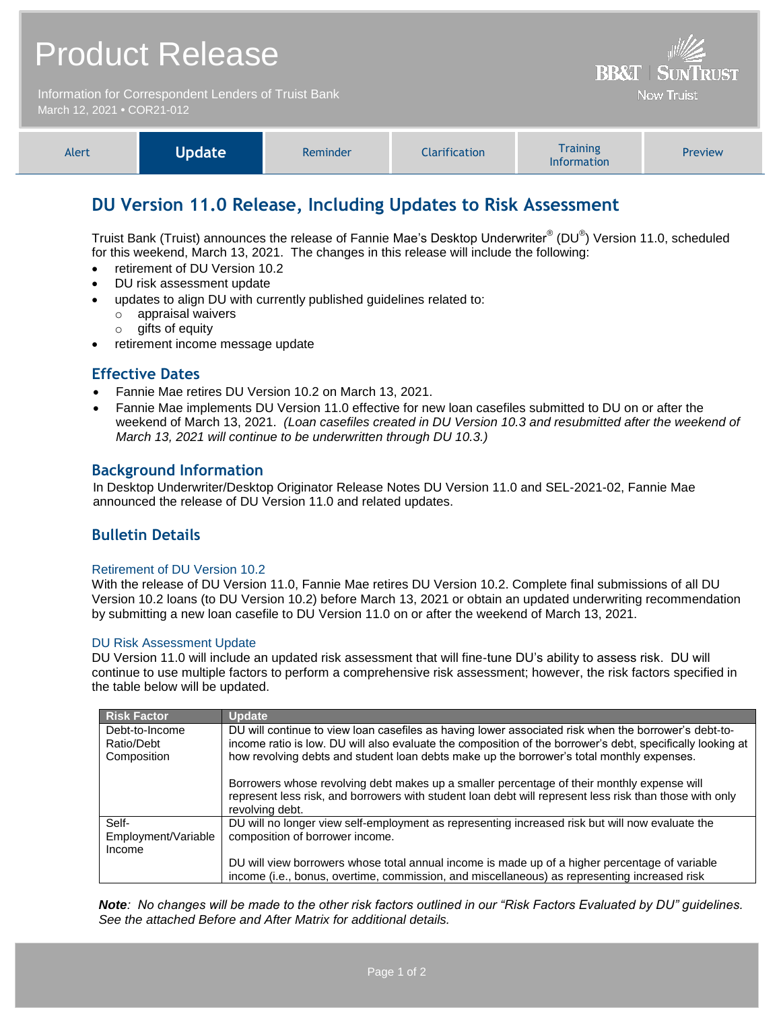# Product Release Information for Correspondent Lenders of Truist Bank

March 12, 2021 **•** COR21-012

| Alert | <b>Undate</b> | Reminder | <b>Clarification</b> | <b>Training</b><br><b>Information</b> | <b>Preview</b> |
|-------|---------------|----------|----------------------|---------------------------------------|----------------|
|-------|---------------|----------|----------------------|---------------------------------------|----------------|

**BB&T | SUNTRUST Now Truist** 

## **DU Version 11.0 Release, Including Updates to Risk Assessment**

Truist Bank (Truist) announces the release of Fannie Mae's Desktop Underwriter® (DU®) Version 11.0, scheduled for this weekend, March 13, 2021. The changes in this release will include the following:

- retirement of DU Version 10.2
- DU risk assessment update
- updates to align DU with currently published guidelines related to:
	- o appraisal waivers
	- o gifts of equity
- retirement income message update

## **Effective Dates**

- Fannie Mae retires DU Version 10.2 on March 13, 2021.
- Fannie Mae implements DU Version 11.0 effective for new loan casefiles submitted to DU on or after the weekend of March 13, 2021. *(Loan casefiles created in DU Version 10.3 and resubmitted after the weekend of March 13, 2021 will continue to be underwritten through DU 10.3.)*

## **Background Information**

In Desktop Underwriter/Desktop Originator Release Notes DU Version 11.0 and SEL-2021-02, Fannie Mae announced the release of DU Version 11.0 and related updates.

## **Bulletin Details**

#### Retirement of DU Version 10.2

With the release of DU Version 11.0, Fannie Mae retires DU Version 10.2. Complete final submissions of all DU Version 10.2 loans (to DU Version 10.2) before March 13, 2021 or obtain an updated underwriting recommendation by submitting a new loan casefile to DU Version 11.0 on or after the weekend of March 13, 2021.

#### DU Risk Assessment Update

DU Version 11.0 will include an updated risk assessment that will fine-tune DU's ability to assess risk. DU will continue to use multiple factors to perform a comprehensive risk assessment; however, the risk factors specified in the table below will be updated.

| <b>Risk Factor</b>  | <b>Update</b>                                                                                              |
|---------------------|------------------------------------------------------------------------------------------------------------|
| Debt-to-Income      | DU will continue to view loan casefiles as having lower associated risk when the borrower's debt-to-       |
| Ratio/Debt          | income ratio is low. DU will also evaluate the composition of the borrower's debt, specifically looking at |
| Composition         | how revolving debts and student loan debts make up the borrower's total monthly expenses.                  |
|                     |                                                                                                            |
|                     | Borrowers whose revolving debt makes up a smaller percentage of their monthly expense will                 |
|                     | represent less risk, and borrowers with student loan debt will represent less risk than those with only    |
|                     | revolving debt.                                                                                            |
| Self-               | DU will no longer view self-employment as representing increased risk but will now evaluate the            |
| Employment/Variable | composition of borrower income.                                                                            |
| Income              |                                                                                                            |
|                     | DU will view borrowers whose total annual income is made up of a higher percentage of variable             |
|                     | income (i.e., bonus, overtime, commission, and miscellaneous) as representing increased risk               |

*Note: No changes will be made to the other risk factors outlined in our "Risk Factors Evaluated by DU" guidelines. See the attached Before and After Matrix for additional details.*